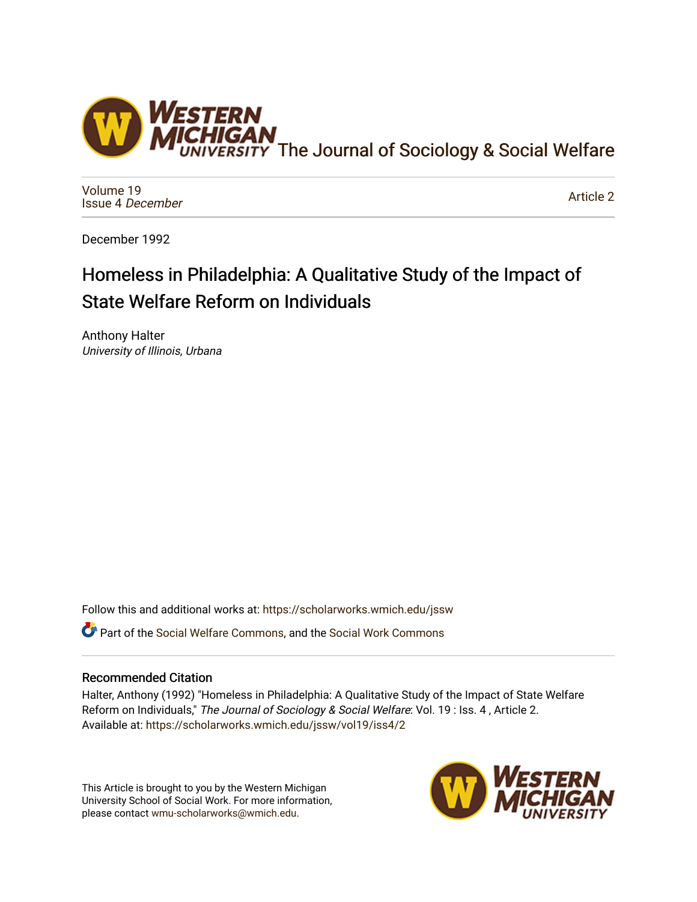

[Volume 19](https://scholarworks.wmich.edu/jssw/vol19) [Issue 4](https://scholarworks.wmich.edu/jssw/vol19/iss4) December

[Article 2](https://scholarworks.wmich.edu/jssw/vol19/iss4/2) 

December 1992

# Homeless in Philadelphia: A Qualitative Study of the Impact of State Welfare Reform on Individuals

Anthony Halter University of Illinois, Urbana

Follow this and additional works at: [https://scholarworks.wmich.edu/jssw](https://scholarworks.wmich.edu/jssw?utm_source=scholarworks.wmich.edu%2Fjssw%2Fvol19%2Fiss4%2F2&utm_medium=PDF&utm_campaign=PDFCoverPages) 

Part of the [Social Welfare Commons](http://network.bepress.com/hgg/discipline/401?utm_source=scholarworks.wmich.edu%2Fjssw%2Fvol19%2Fiss4%2F2&utm_medium=PDF&utm_campaign=PDFCoverPages), and the [Social Work Commons](http://network.bepress.com/hgg/discipline/713?utm_source=scholarworks.wmich.edu%2Fjssw%2Fvol19%2Fiss4%2F2&utm_medium=PDF&utm_campaign=PDFCoverPages) 

# Recommended Citation

Halter, Anthony (1992) "Homeless in Philadelphia: A Qualitative Study of the Impact of State Welfare Reform on Individuals," The Journal of Sociology & Social Welfare: Vol. 19 : Iss. 4, Article 2. Available at: [https://scholarworks.wmich.edu/jssw/vol19/iss4/2](https://scholarworks.wmich.edu/jssw/vol19/iss4/2?utm_source=scholarworks.wmich.edu%2Fjssw%2Fvol19%2Fiss4%2F2&utm_medium=PDF&utm_campaign=PDFCoverPages)

This Article is brought to you by the Western Michigan University School of Social Work. For more information, please contact [wmu-scholarworks@wmich.edu.](mailto:wmu-scholarworks@wmich.edu)

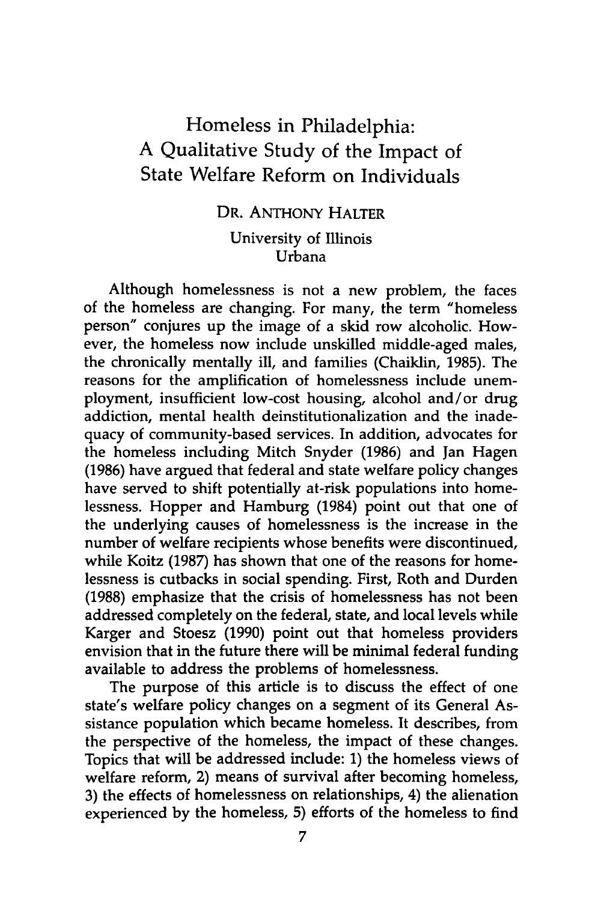# Homeless in Philadelphia: A Qualitative Study of the Impact of State Welfare Reform on Individuals

# DR. ANTHONY HALTER University of Illinois Urbana

Although homelessness is not a new problem, the faces of the homeless are changing. For many, the term "homeless person" conjures up the image of a skid row alcoholic. However, the homeless now include unskilled middle-aged males, the chronically mentally ill, and families (Chaiklin, 1985). The reasons for the amplification of homelessness include unemployment, insufficient low-cost housing, alcohol and/or drug addiction, mental health deinstitutionalization and the inadequacy of community-based services. In addition, advocates for the homeless including Mitch Snyder (1986) and Jan Hagen (1986) have argued that federal and state welfare policy changes have served to shift potentially at-risk populations into homelessness. Hopper and Hamburg (1984) point out that one of the underlying causes of homelessness is the increase in the number of welfare recipients whose benefits were discontinued, while Koitz **(1987)** has shown that one of the reasons for homelessness is cutbacks in social spending. First, Roth and Durden **(1988)** emphasize that the crisis of homelessness has not been addressed completely on the federal, state, and local levels while Karger and Stoesz **(1990)** point out that homeless providers envision that in the future there will be minimal federal funding available to address the problems of homelessness.

The purpose of this article is to discuss the effect of one state's welfare policy changes on a segment of its General Assistance population which became homeless. It describes, from the perspective of the homeless, the impact of these changes. Topics that will be addressed include: **1)** the homeless views of welfare reform, 2) means of survival after becoming homeless, **3)** the effects of homelessness on relationships, 4) the alienation experienced **by** the homeless, **5)** efforts of the homeless to find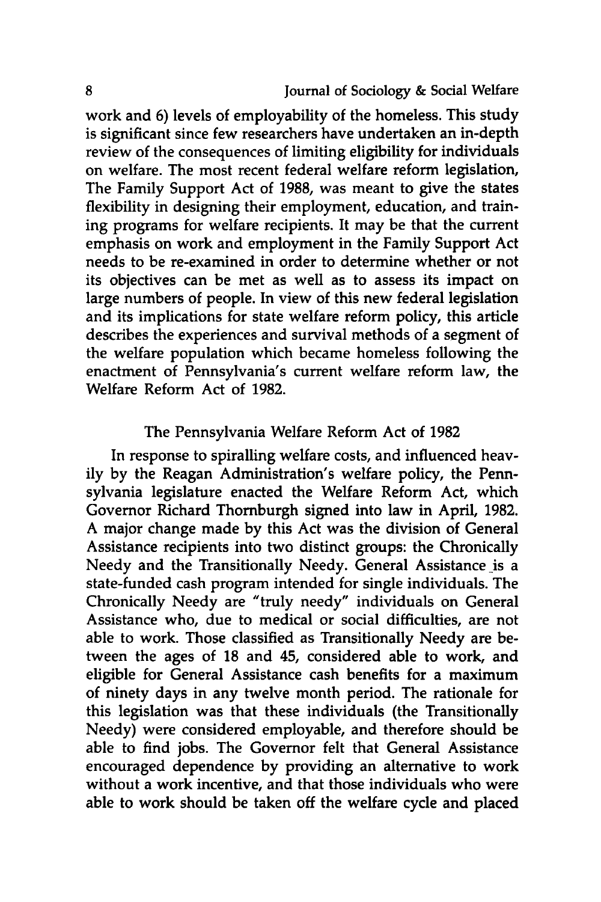work and **6)** levels of employability of the homeless. This study is significant since few researchers have undertaken an in-depth review of the consequences of limiting eligibility for individuals on welfare. The most recent federal welfare reform legislation, The Family Support Act of **1988,** was meant to give the states flexibility in designing their employment, education, and training programs for welfare recipients. It may be that the current emphasis on work and employment in the Family Support Act needs to be re-examined in order to determine whether or not its objectives can be met as well as to assess its impact on large numbers of people. In view of this new federal legislation and its implications for state welfare reform policy, this article describes the experiences and survival methods of a segment of the welfare population which became homeless following the enactment of Pennsylvania's current welfare reform law, the Welfare Reform Act of **1982.**

# The Pennsylvania Welfare Reform Act of **1982**

In response to spiralling welfare costs, and influenced heavily **by** the Reagan Administration's welfare policy, the Pennsylvania legislature enacted the Welfare Reform Act, which Governor Richard Thornburgh signed into law in April, 1982. A major change made **by** this Act was the division of General Assistance recipients into two distinct groups: the Chronically Needy and the Transitionally Needy. General Assistance is a state-funded cash program intended for single individuals. The Chronically Needy are "truly needy" individuals on General Assistance who, due to medical or social difficulties, are not able to work. Those classified as Transitionally Needy are between the ages of **18** and 45, considered able to work, and eligible for General Assistance cash benefits for a maximum of ninety days in any twelve month period. The rationale for this legislation was that these individuals (the Transitionally Needy) were considered employable, and therefore should be able to find jobs. The Governor felt that General Assistance encouraged dependence **by** providing an alternative to work without a work incentive, and that those individuals who were able to work should be taken off the welfare cycle and placed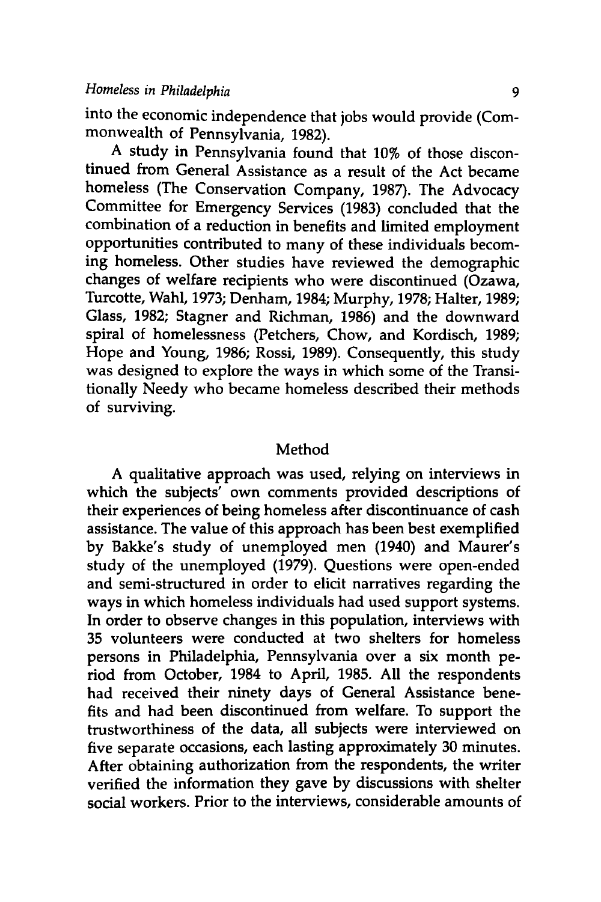into the economic independence that jobs would provide (Commonwealth of Pennsylvania, **1982).**

A study in Pennsylvania found that 10% of those discontinued from General Assistance as a result of the Act became homeless (The Conservation Company, **1987).** The Advocacy Committee for Emergency Services **(1983)** concluded that the combination of a reduction in benefits and limited employment opportunities contributed to many of these individuals becoming homeless. Other studies have reviewed the demographic changes of welfare recipients who were discontinued (Ozawa, Turcotte, Wahl, **1973;** Denham, 1984; Murphy, **1978;** Halter, **1989;** Glass, **1982;** Stagner and Richman, **1986)** and the downward spiral of homelessness (Petchers, Chow, and Kordisch, **1989;** Hope and Young, **1986;** Rossi, **1989).** Consequently, this study was designed to explore the ways in which some of the Transitionally Needy who became homeless described their methods of surviving.

#### Method

A qualitative approach was used, relying on interviews in which the subjects' own comments provided descriptions of their experiences of being homeless after discontinuance of cash assistance. The value of this approach has been best exemplified **by** Bakke's study of unemployed men (1940) and Maurer's study of the unemployed **(1979).** Questions were open-ended and semi-structured in order to elicit narratives regarding the ways in which homeless individuals had used support systems. In order to observe changes in this population, interviews with **35** volunteers were conducted at two shelters for homeless persons in Philadelphia, Pennsylvania over a six month period from October, 1984 to April, **1985. All** the respondents had received their ninety days of General Assistance benefits and had been discontinued from welfare. To support the trustworthiness of the data, all subjects were interviewed on five separate occasions, each lasting approximately **30** minutes. After obtaining authorization from the respondents, the writer verified the information they gave **by** discussions with shelter social workers. Prior to the interviews, considerable amounts of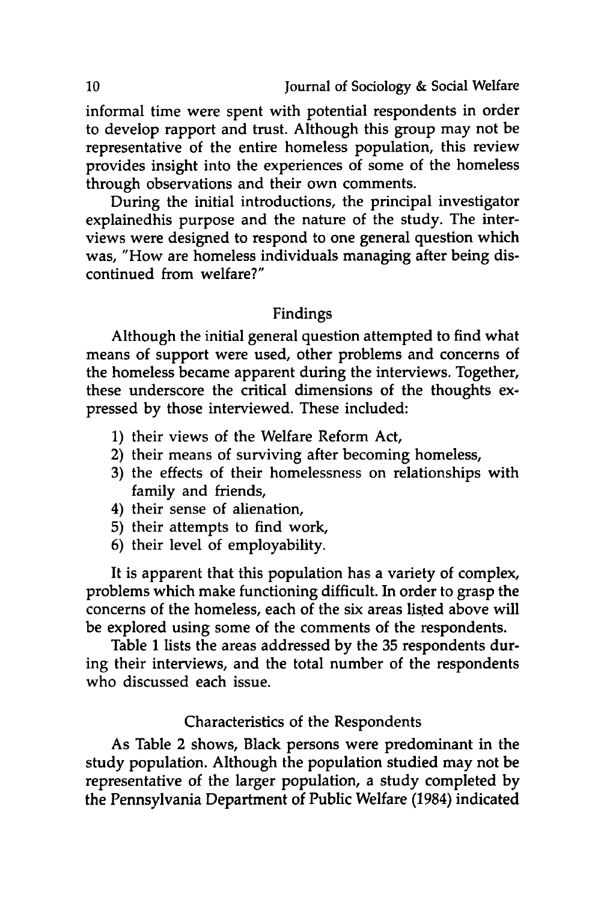informal time were spent with potential respondents in order to develop rapport and trust. Although this group may not be representative of the entire homeless population, this review provides insight into the experiences of some of the homeless through observations and their own comments.

During the initial introductions, the principal investigator explainedhis purpose and the nature of the study. The interviews were designed to respond to one general question which was, "How are homeless individuals managing after being discontinued from welfare?"

#### Findings

Although the initial general question attempted to find what means of support were used, other problems and concerns of the homeless became apparent during the interviews. Together, these underscore the critical dimensions of the thoughts expressed **by** those interviewed. These included:

- **1)** their views of the Welfare Reform Act,
- 2) their means of surviving after becoming homeless,
- **3)** the effects of their homelessness on relationships with family and friends,
- 4) their sense of alienation,
- **5)** their attempts to find work,
- **6)** their level of employability.

It is apparent that this population has a variety of complex, problems which make functioning difficult. In order to grasp the concerns of the homeless, each of the six areas listed above will be explored using some of the comments of the respondents.

Table **1** lists the areas addressed **by** the **35** respondents during their interviews, and the total number of the respondents who discussed each issue.

## Characteristics of the Respondents

As Table 2 shows, Black persons were predominant in the study population. Although the population studied may not be representative of the larger population, a study completed **by** the Pennsylvania Department of Public Welfare (1984) indicated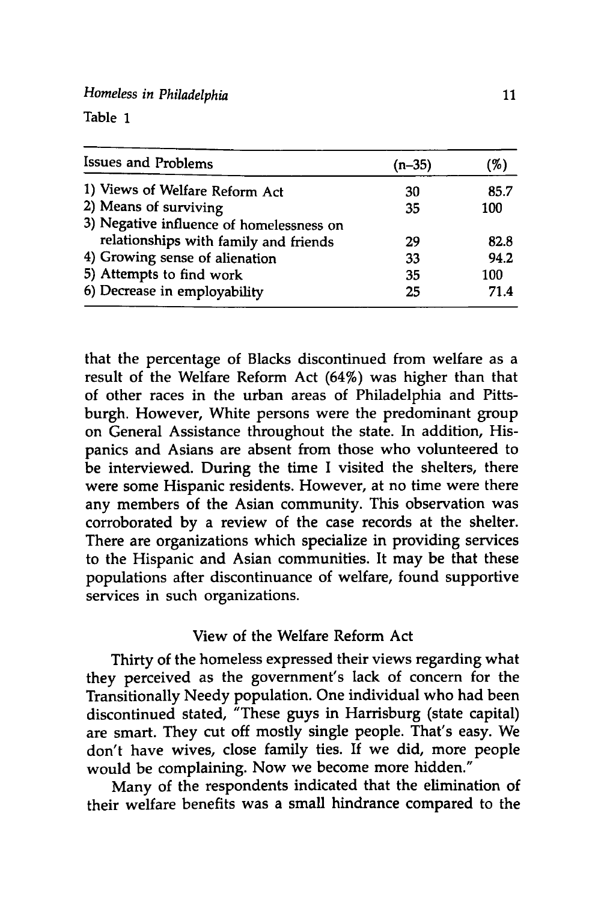*Homeless in Philadelphia*

| <b>Issues and Problems</b>               | $(n-35)$ | 96)  |  |
|------------------------------------------|----------|------|--|
| 1) Views of Welfare Reform Act           | 30       | 85.7 |  |
| 2) Means of surviving                    | 35       | 100  |  |
| 3) Negative influence of homelessness on |          |      |  |
| relationships with family and friends    | 29       | 82.8 |  |
| 4) Growing sense of alienation           | 33       | 94.2 |  |
| 5) Attempts to find work                 | 35       | 100  |  |
| 6) Decrease in employability             | 25       | 71.4 |  |

that the percentage of Blacks discontinued from welfare as a result of the Welfare Reform Act (64%) was higher than that of other races in the urban areas of Philadelphia and Pittsburgh. However, White persons were the predominant group on General Assistance throughout the state. In addition, Hispanics and Asians are absent from those who volunteered to be interviewed. During the time I visited the shelters, there were some Hispanic residents. However, at no time were there any members of the Asian community. This observation was corroborated **by** a review of the case records at the shelter. There are organizations which specialize in providing services to the Hispanic and Asian communities. It may be that these populations after discontinuance of welfare, found supportive services in such organizations.

#### View of the Welfare Reform Act

Thirty of the homeless expressed their views regarding what they perceived as the government's lack of concern for the Transitionally Needy population. One individual who had been discontinued stated, "These guys in Harrisburg (state capital) are smart. They cut off mostly single people. That's easy. We don't have wives, close family ties. If we did, more people would be complaining. Now we become more hidden."

Many of the respondents indicated that the elimination of their welfare benefits was a small hindrance compared to the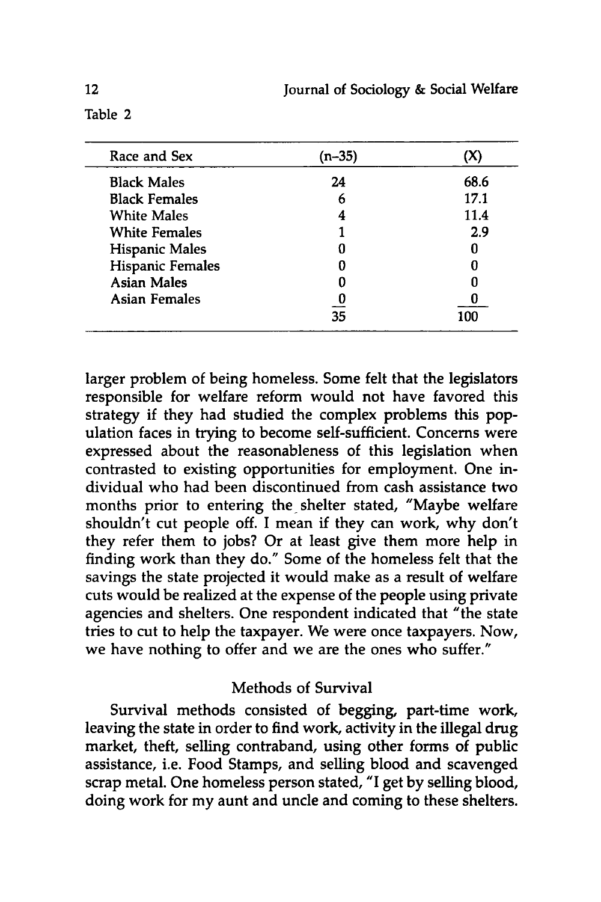| Race and Sex            | (n–35) |      |
|-------------------------|--------|------|
| <b>Black Males</b>      | 24     | 68.6 |
| <b>Black Females</b>    | 6      | 17.1 |
| <b>White Males</b>      |        | 11.4 |
| <b>White Females</b>    |        | 2.9  |
| Hispanic Males          |        |      |
| <b>Hispanic Females</b> | 0      |      |
| <b>Asian Males</b>      |        |      |
| <b>Asian Females</b>    |        |      |
|                         | 35     | 100  |

larger problem of being homeless. Some felt that the legislators responsible for welfare reform would not have favored this strategy if they had studied the complex problems this population faces in trying to become self-sufficient. Concerns were expressed about the reasonableness of this legislation when contrasted to existing opportunities for employment. One individual who had been discontinued from cash assistance two months prior to entering the shelter stated, "Maybe welfare shouldn't cut people off. I mean **if** they can work, why don't they refer them to jobs? Or at least give them more help in finding work than they do." Some of the homeless felt that the savings the state projected it would make as a result of welfare cuts would be realized at the expense of the people using private agencies and shelters. One respondent indicated that "the state tries to cut to help the taxpayer. We were once taxpayers. Now, we have nothing to offer and we are the ones who suffer."

# Methods of Survival

Survival methods consisted of begging, part-time work, leaving the state in order to find work, activity in the illegal drug market, theft, selling contraband, using other forms of public assistance, i.e. Food Stamps, and selling blood and scavenged scrap metal. One homeless person stated, **"I** get **by** selling blood, doing work for my aunt and uncle and coming to these shelters.

Table 2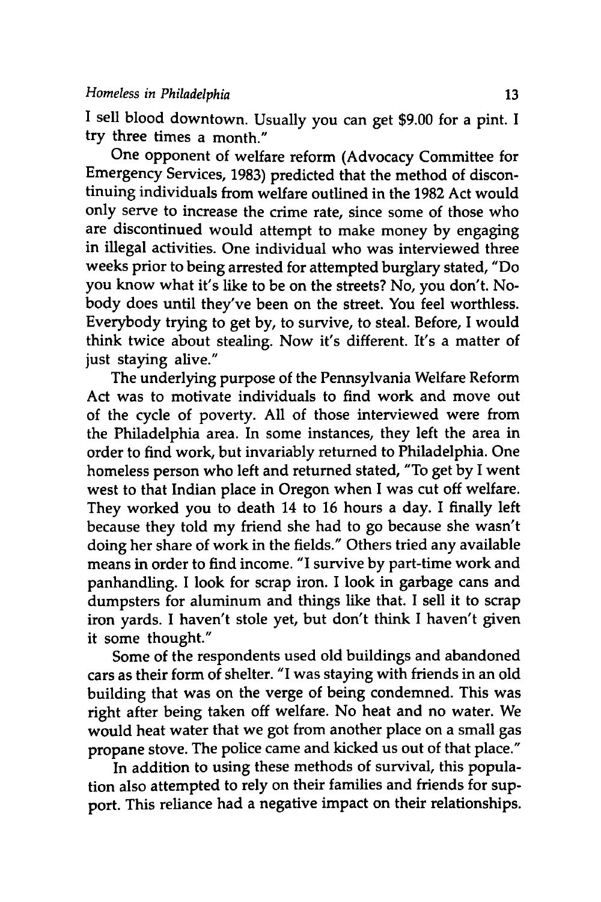**I** sell blood downtown. Usually you can get **\$9.00** for a pint. I try three times a month."

One opponent of welfare reform (Advocacy Committee for Emergency Services, **1983)** predicted that the method of discontinuing individuals from welfare outlined in the **1982** Act would only serve to increase the crime rate, since some of those who are discontinued would attempt to make money **by** engaging in illegal activities. One individual who was interviewed three weeks prior to being arrested for attempted burglary stated, "Do you know what it's like to be on the streets? No, you don't. Nobody does until they've been on the street. You feel worthless. Everybody trying to get **by,** to survive, to steal. Before, I would think twice about stealing. Now it's different. It's a matter of just staying alive."

The underlying purpose of the Pennsylvania Welfare Reform Act was to motivate individuals to find work and move out of the cycle of poverty. **All** of those interviewed were from the Philadelphia area. In some instances, they left the area in order to find work, but invariably returned to Philadelphia. One homeless person who left and returned stated, "To get **by** I went west to that Indian place in Oregon when **I** was cut off welfare. They worked you to death 14 to **16** hours a day. I finally left because they told my friend she had to go because she wasn't doing her share of work in the fields." Others tried any available means in order to find income. "I survive **by** part-time work and panhandling. I look for scrap iron. I look in garbage cans and dumpsters for aluminum and things like that. **I** sell it to scrap iron yards. I haven't stole yet, but don't think **I** haven't given it some thought."

Some of the respondents used old buildings and abandoned cars as their form of shelter. "I was staying with friends in an old building that was on the verge of being condemned. This was right after being taken off welfare. No heat and no water. We would heat water that we got from another place on a small gas propane stove. The police came and kicked us out of that place."

In addition to using these methods of survival, this population also attempted to rely on their families and friends for support. This reliance had a negative impact on their relationships.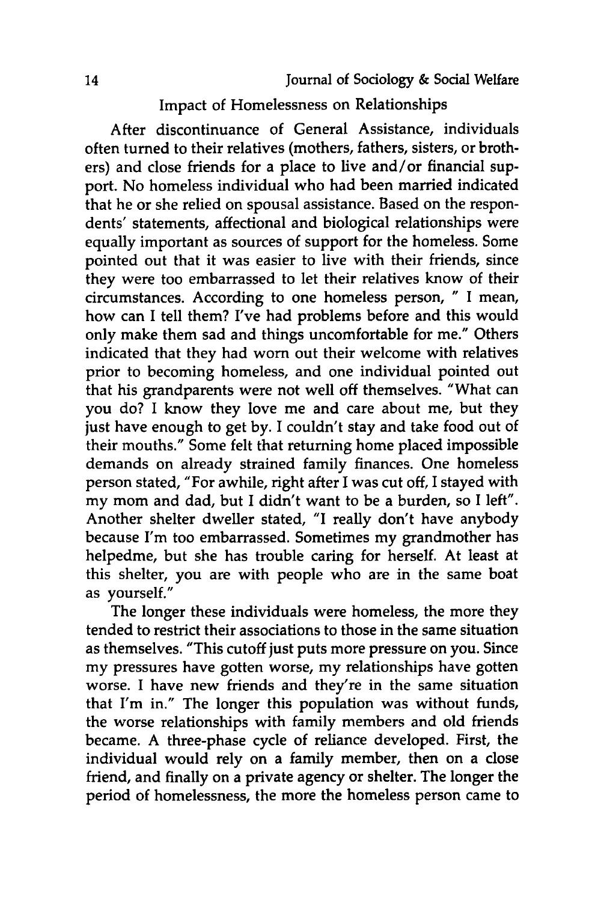# Impact of Homelessness on Relationships

After discontinuance of General Assistance, individuals often turned to their relatives (mothers, fathers, sisters, or brothers) and close friends for a place to live and/or financial support. No homeless individual who had been married indicated that he or she relied on spousal assistance. Based on the respondents' statements, affectional and biological relationships were equally important as sources of support for the homeless. Some pointed out that it was easier to live with their friends, since they were too embarrassed to let their relatives know of their circumstances. According to one homeless person, " I mean, how can I tell them? I've had problems before and this would only make them sad and things uncomfortable for me." Others indicated that they had worn out their welcome with relatives prior to becoming homeless, and one individual pointed out that his grandparents were not well off themselves. "What can you do? I know they love me and care about me, but they just have enough to get **by. I** couldn't stay and take food out of their mouths." Some felt that returning home placed impossible demands on already strained family finances. One homeless person stated, "For awhile, right after I was cut off, I stayed with my mom and dad, but I didn't want to be a burden, so I left". Another shelter dweller stated, "I really don't have anybody because I'm too embarrassed. Sometimes my grandmother has helpedme, but she has trouble caring for herself. At least at this shelter, you are with people who are in the same boat as yourself."

The longer these individuals were homeless, the more they tended to restrict their associations to those in the same situation as themselves. "This cutoff just puts more pressure on you. Since my pressures have gotten worse, my relationships have gotten worse. I have new friends and they're in the same situation that I'm in." The longer this population was without funds, the worse relationships with family members and old friends became. A three-phase cycle of reliance developed. First, the individual would rely on a family member, then on a close friend, and finally on a private agency or shelter. The longer the period of homelessness, the more the homeless person came to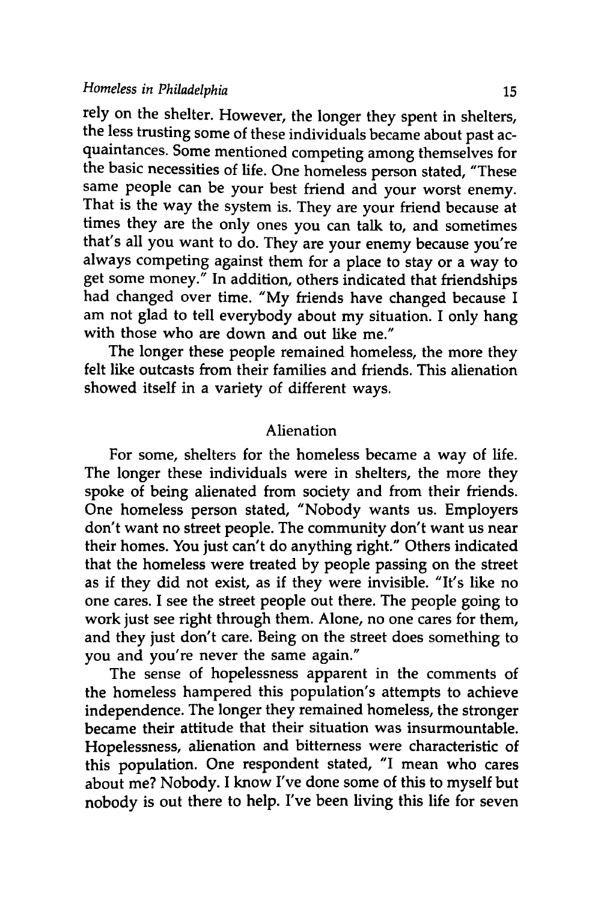*Homeless in Philadelphia* **15**

rely on the shelter. However, the longer they spent in shelters, the less trusting some of these individuals became about past acquaintances. Some mentioned competing among themselves for the basic necessities of life. One homeless person stated, "These same people can be your best friend and your worst enemy. That is the way the system is. They are your friend because at times they are the only ones you can talk to, and sometimes that's all you want to do. They are your enemy because you're always competing against them for a place to stay or a way to get some money." In addition, others indicated that friendships had changed over time. **"My** friends have changed because I am not glad to tell everybody about my situation. **I** only hang with those who are down and out like me."

The longer these people remained homeless, the more they felt like outcasts from their families and friends. This alienation showed itself in a variety of different ways.

#### Alienation

For some, shelters for the homeless became a way of life. The longer these individuals were in shelters, the more they spoke of being alienated from society and from their friends. One homeless person stated, "Nobody wants us. Employers don't want no street people. The community don't want us near their homes. You just can't do anything right." Others indicated that the homeless were treated **by** people passing on the street as if they did not exist, as if they were invisible. "It's like no one cares. **I** see the street people out there. The people going to work just see right through them. Alone, no one cares for them, and they just don't care. Being on the street does something to you and you're never the same again."

The sense of hopelessness apparent in the comments of the homeless hampered this population's attempts to achieve independence. The longer they remained homeless, the stronger became their attitude that their situation was insurmountable. Hopelessness, alienation and bitterness were characteristic of this population. One respondent stated, "I mean who cares about me? **Nobody.** I know I've done some of this to myself but nobody is out there to help. I've been living this life for seven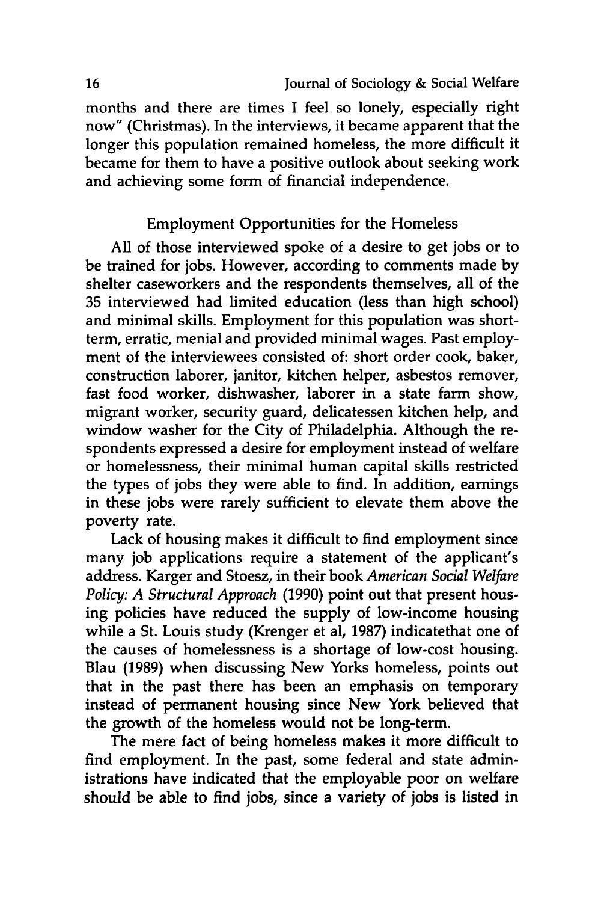months and there are times I feel so lonely, especially right now" (Christmas). In the interviews, it became apparent that the longer this population remained homeless, the more difficult it became for them to have a positive outlook about seeking work and achieving some form of financial independence.

# Employment Opportunities for the Homeless

**All** of those interviewed spoke of a desire to get jobs or to be trained for jobs. However, according to comments made **by** shelter caseworkers and the respondents themselves, all of the **35** interviewed had limited education (less than high school) and minimal skills. Employment for this population was shortterm, erratic, menial and provided minimal wages. Past employment of the interviewees consisted of: short order cook, baker, construction laborer, janitor, kitchen helper, asbestos remover, fast food worker, dishwasher, laborer in a state farm show, migrant worker, security guard, delicatessen kitchen help, and window washer for the City of Philadelphia. Although the respondents expressed a desire for employment instead of welfare or homelessness, their minimal human capital skills restricted the types of jobs they were able to find. In addition, earnings in these jobs were rarely sufficient to elevate them above the poverty rate.

Lack of housing makes it difficult to find employment since many **job** applications require a statement of the applicant's address. Karger and Stoesz, in their book *American Social Welfare Policy: A Structural Approach* **(1990)** point out that present housing policies have reduced the supply of low-income housing while a St. Louis study (Krenger et al, **1987)** indicatethat one of the causes of homelessness is a shortage of low-cost housing. Blau **(1989)** when discussing New Yorks homeless, points out that in the past there has been an emphasis on temporary instead of permanent housing since New York believed that the growth of the homeless would not be long-term.

The mere fact of being homeless makes it more difficult to find employment. In the past, some federal and state administrations have indicated that the employable poor on welfare should be able to find jobs, since a variety of jobs is listed in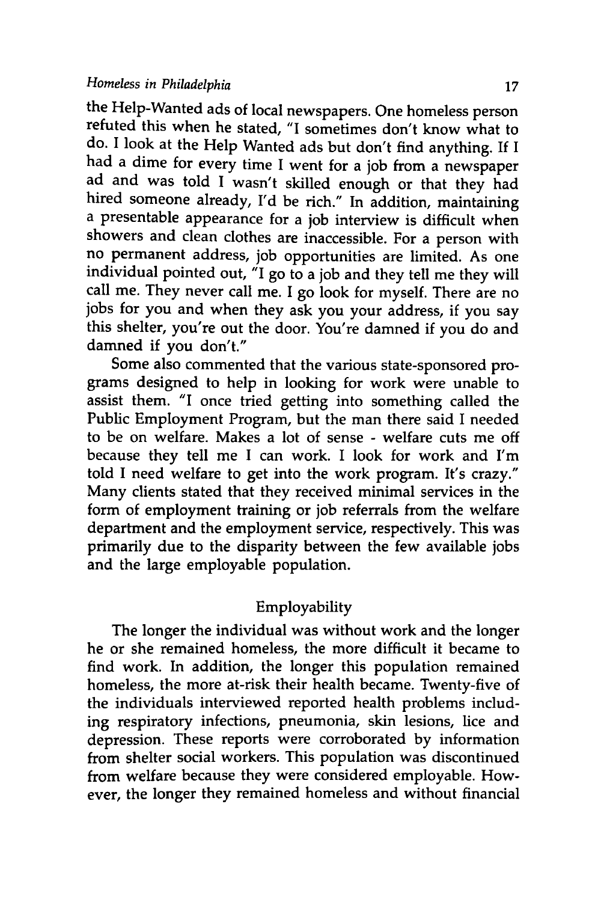the Help-Wanted ads of local newspapers. One homeless person refuted this when he stated, "I sometimes don't know what to do. I look at the Help Wanted ads but don't find anything. If I had a dime for every time I went for a job from a newspaper ad and was told I wasn't skilled enough or that they had hired someone already, I'd be rich." In addition, maintaining a presentable appearance for a job interview is difficult when showers and clean clothes are inaccessible. For a person with no permanent address, job opportunities are limited. As one individual pointed out,  $i\overline{I}$  go to a job and they tell me they will call me. They never call me. I go look for myself. There are no jobs for you and when they ask you your address, if you say this shelter, you're out the door. You're damned if you do and damned if you don't."

Some also commented that the various state-sponsored programs designed to help in looking for work were unable to assist them. "I once tried getting into something called the Public Employment Program, but the man there said I needed to be on welfare. Makes a lot of sense - welfare cuts me off because they tell me I can work. I look for work and I'm told I need welfare to get into the work program. It's crazy." Many clients stated that they received minimal services in the form of employment training or job referrals from the welfare department and the employment service, respectively. This was primarily due to the disparity between the few available jobs and the large employable population.

# Employability

The longer the individual was without work and the longer he or she remained homeless, the more difficult it became to find work. In addition, the longer this population remained homeless, the more at-risk their health became. Twenty-five of the individuals interviewed reported health problems including respiratory infections, pneumonia, skin lesions, lice and depression. These reports were corroborated by information from shelter social workers. This population was discontinued from welfare because they were considered employable. However, the longer they remained homeless and without financial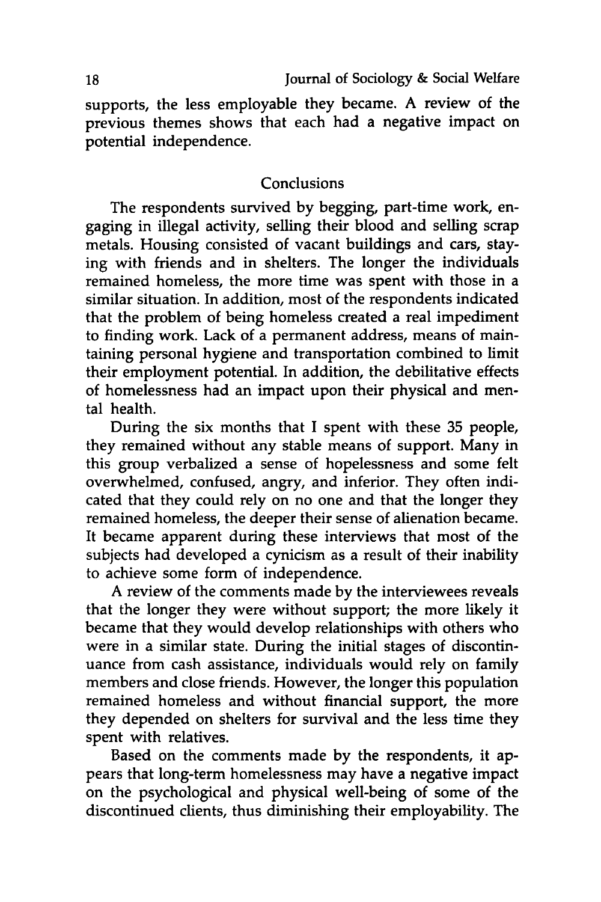supports, the less employable they became. **A** review of the previous themes shows that each had a negative impact on potential independence.

#### Conclusions

The respondents survived **by** begging, part-time work, engaging in illegal activity, selling their blood and selling scrap metals. Housing consisted of vacant buildings and cars, staying with friends and in shelters. The longer the individuals remained homeless, the more time was spent with those in a similar situation. In addition, most of the respondents indicated that the problem of being homeless created a real impediment to finding work. Lack of a permanent address, means of maintaining personal hygiene and transportation combined to limit their employment potential. In addition, the debilitative effects of homelessness had an impact upon their physical and mental health.

During the six months that I spent with these **35** people, they remained without any stable means of support. Many in this group verbalized a sense of hopelessness and some felt overwhelmed, confused, angry, and inferior. They often indicated that they could rely on no one and that the longer they remained homeless, the deeper their sense of alienation became. It became apparent during these interviews that most of the subjects had developed a cynicism as a result of their inability to achieve some form of independence.

A review of the comments made **by** the interviewees reveals that the longer they were without support; the more likely it became that they would develop relationships with others who were in a similar state. During the initial stages of discontinuance from cash assistance, individuals would rely on family members and close friends. However, the longer this population remained homeless and without financial support, the more they depended on shelters for survival and the less time they spent with relatives.

Based on the comments made **by** the respondents, it appears that long-term homelessness may have a negative impact on the psychological and physical well-being of some of the discontinued clients, thus diminishing their employability. The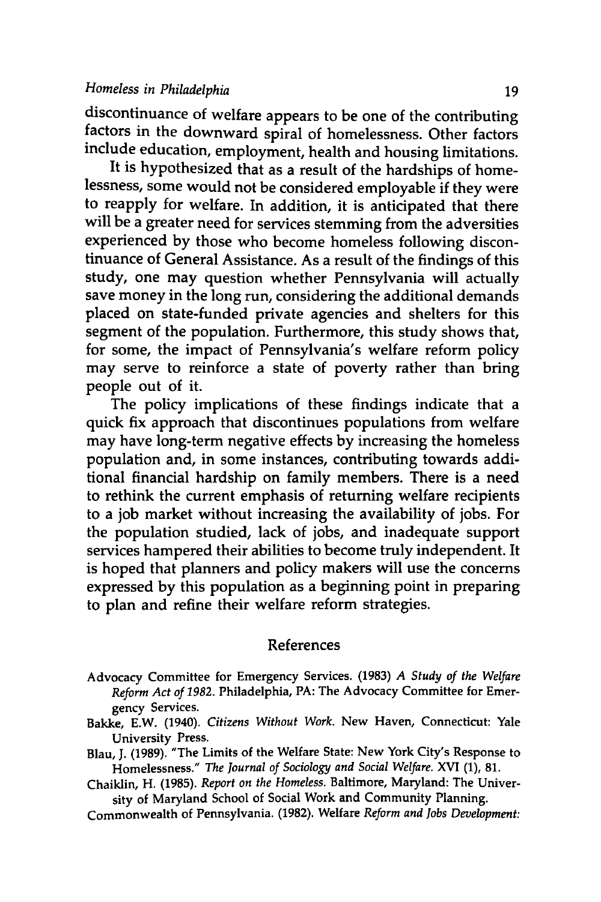discontinuance of welfare appears to be one of the contributing factors in the downward spiral of homelessness. Other factors include education, employment, health and housing limitations.

It is hypothesized that as a result of the hardships of homelessness, some would not be considered employable if they were to reapply for welfare. In addition, it is anticipated that there will be a greater need for services stemming from the adversities experienced **by** those who become homeless following discontinuance of General Assistance. As a result of the findings of this study, one may question whether Pennsylvania will actually save money in the long run, considering the additional demands placed on state-funded private agencies and shelters for this segment of the population. Furthermore, this study shows that, for some, the impact of Pennsylvania's welfare reform policy may serve to reinforce a state of poverty rather than bring people out of it.

The policy implications of these findings indicate that a quick fix approach that discontinues populations from welfare may have long-term negative effects **by** increasing the homeless population and, in some instances, contributing towards additional financial hardship on family members. There is a need to rethink the current emphasis of returning welfare recipients to a **job** market without increasing the availability of jobs. For the population studied, lack of jobs, and inadequate support services hampered their abilities to become truly independent. It is hoped that planners and policy makers will use the concerns expressed **by** this population as a beginning point in preparing to plan and refine their welfare reform strategies.

#### References

- Advocacy Committee for Emergency Services. **(1983)** *A Study of the Welfare Reform Act of 1982.* Philadelphia, PA: The Advocacy Committee for Emergency Services.
- Bakke, E.W. (1940). *Citizens Without Work.* New Haven, Connecticut: Yale University Press.
- Blau, **J. (1989).** "The Limits of the Welfare State: New York City's Response to Homelessness." *The Journal of Sociology and Social Welfare.* XVI **(1), 81.**

Chaiklin, H. **(1985).** *Report on the Homeless.* Baltimore, Maryland: The University of Maryland School of Social Work and Community Planning.

Commonwealth of Pennsylvania. **(1982).** Welfare *Reform and Jobs Development:*